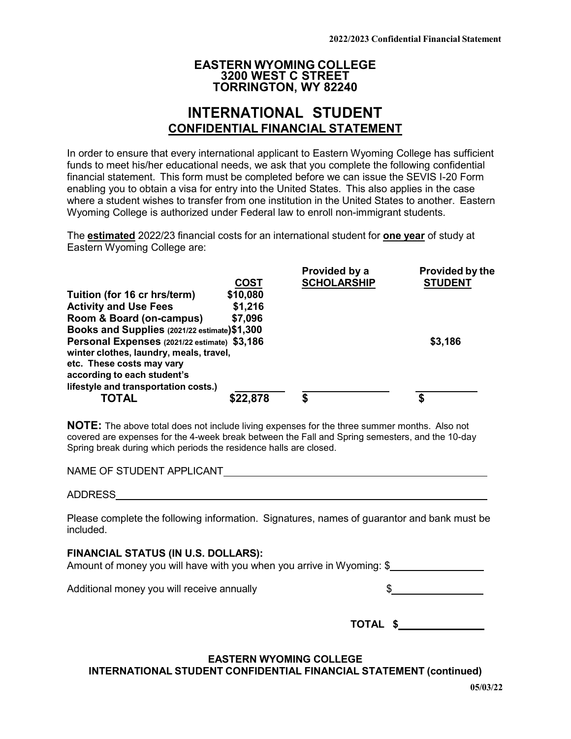## **EASTERN WYOMING COLLEGE 3200 WEST C STREET TORRINGTON, WY 82240**

# **INTERNATIONAL STUDENT CONFIDENTIAL FINANCIAL STATEMENT**

In order to ensure that every international applicant to Eastern Wyoming College has sufficient funds to meet his/her educational needs, we ask that you complete the following confidential financial statement. This form must be completed before we can issue the SEVIS I-20 Form enabling you to obtain a visa for entry into the United States. This also applies in the case where a student wishes to transfer from one institution in the United States to another. Eastern Wyoming College is authorized under Federal law to enroll non-immigrant students.

The **estimated** 2022/23 financial costs for an international student for **one year** of study at Eastern Wyoming College are:

|                                                                                         |             | Provided by a      | Provided by the |
|-----------------------------------------------------------------------------------------|-------------|--------------------|-----------------|
|                                                                                         | <b>COST</b> | <b>SCHOLARSHIP</b> | <b>STUDENT</b>  |
| Tuition (for 16 cr hrs/term)                                                            | \$10,080    |                    |                 |
| <b>Activity and Use Fees</b>                                                            | \$1,216     |                    |                 |
| Room & Board (on-campus)                                                                | \$7,096     |                    |                 |
| Books and Supplies (2021/22 estimate) \$1,300                                           |             |                    |                 |
| Personal Expenses (2021/22 estimate) \$3,186<br>winter clothes, laundry, meals, travel, |             |                    | \$3,186         |
| etc. These costs may vary<br>according to each student's                                |             |                    |                 |
| lifestyle and transportation costs.)<br><b>TOTAL</b>                                    |             |                    |                 |
|                                                                                         | \$22,878    |                    |                 |

**NOTE:** The above total does not include living expenses for the three summer months. Also not covered are expenses for the 4-week break between the Fall and Spring semesters, and the 10-day Spring break during which periods the residence halls are closed.

NAME OF STUDENT APPLICANT

#### ADDRESS Participate the contract of the contract of the contract of the contract of the contract of the contract of the contract of the contract of the contract of the contract of the contract of the contract of the contra

Please complete the following information. Signatures, names of guarantor and bank must be included.

#### **FINANCIAL STATUS (IN U.S. DOLLARS):**

Amount of money you will have with you when you arrive in Wyoming: \$

Additional money you will receive annually  $\overline{\text{S}}$  **\$** 

| TOTAL \$ |  |  |
|----------|--|--|

## **EASTERN WYOMING COLLEGE INTERNATIONAL STUDENT CONFIDENTIAL FINANCIAL STATEMENT (continued)**